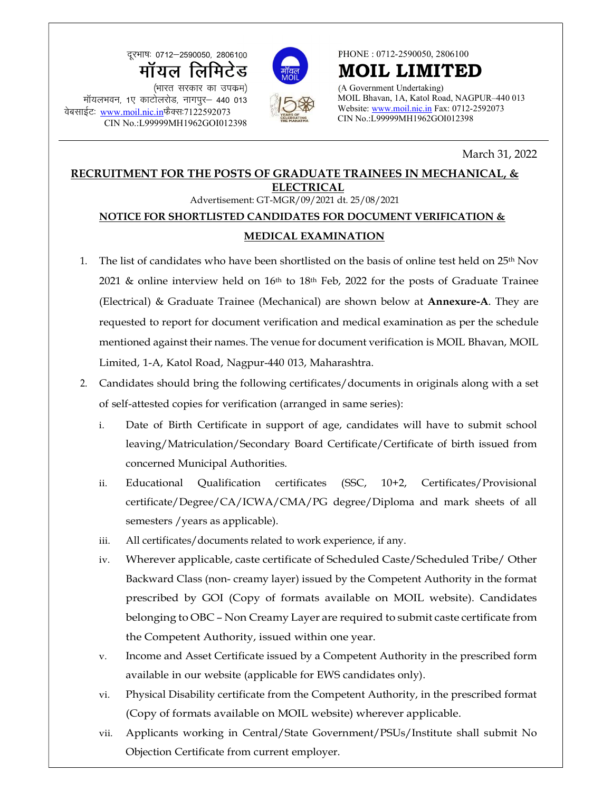दूरभाषः 0712-2590050, 2806100 ¼Hkkjr ljdkj dk mid ze½ क्रूस्माषः 0712–2590050, 2806100<br> **मॉयल लिमिटेड** (भारत सरकार का उपक्रम)<br>सॉयलभवन, 1ए काटोलरोड, नागपुर– 440 013<br>ईटः <u>www.moil.nic.in</u>फैक्सः7122592073 (CIN No.:L99999MH1962GOI012398 (CIN N **EXAMINE 1979-2590050, 2806100<br>
TIP CONTECTS WATER (HTTER TRANSPARENT AND LATER (HTTER TRANSPARENT)<br>
THE CONTECTS OF SURVEY AND RESPONSED TRANSPORT CONTECTS OF SURVEY CONTECTS OF SURVEY CONTECTS OF SURVEY CONTECTS OF SURV** 

CIN No.:L99999MH1962GOI012398





PHONE : 0712-2590050, 2806100

MOIL LIMITED (A Government Undertaking)

MOIL Bhavan, 1A, Katol Road, NAGPUR–440 013 Website: www.moil.nic.in Fax: 0712-2592073 CIN No.:L99999MH1962GOI012398

## March 31, 2022

## RECRUITMENT FOR THE POSTS OF GRADUATE TRAINEES IN MECHANICAL, & ELECTRICAL Advertisement: GT-MGR/09/2021 dt. 25/08/2021

## NOTICE FOR SHORTLISTED CANDIDATES FOR DOCUMENT VERIFICATION & MEDICAL EXAMINATION

- 1. The list of candidates who have been shortlisted on the basis of online test held on  $25<sup>th</sup>$  Nov 2021 & online interview held on  $16<sup>th</sup>$  to  $18<sup>th</sup>$  Feb, 2022 for the posts of Graduate Trainee (Electrical) & Graduate Trainee (Mechanical) are shown below at Annexure-A. They are requested to report for document verification and medical examination as per the schedule mentioned against their names. The venue for document verification is MOIL Bhavan, MOIL Limited, 1-A, Katol Road, Nagpur-440 013, Maharashtra.
- 2. Candidates should bring the following certificates/documents in originals along with a set of self-attested copies for verification (arranged in same series):
	- i. Date of Birth Certificate in support of age, candidates will have to submit school leaving/Matriculation/Secondary Board Certificate/Certificate of birth issued from concerned Municipal Authorities.
	- ii. Educational Qualification certificates (SSC, 10+2, Certificates/Provisional certificate/Degree/CA/ICWA/CMA/PG degree/Diploma and mark sheets of all semesters /years as applicable).
	- iii. All certificates/documents related to work experience, if any.
	- iv. Wherever applicable, caste certificate of Scheduled Caste/Scheduled Tribe/ Other Backward Class (non- creamy layer) issued by the Competent Authority in the format prescribed by GOI (Copy of formats available on MOIL website). Candidates belonging to OBC – Non Creamy Layer are required to submit caste certificate from the Competent Authority, issued within one year.
	- v. Income and Asset Certificate issued by a Competent Authority in the prescribed form available in our website (applicable for EWS candidates only).
	- vi. Physical Disability certificate from the Competent Authority, in the prescribed format (Copy of formats available on MOIL website) wherever applicable.
	- vii. Applicants working in Central/State Government/PSUs/Institute shall submit No Objection Certificate from current employer.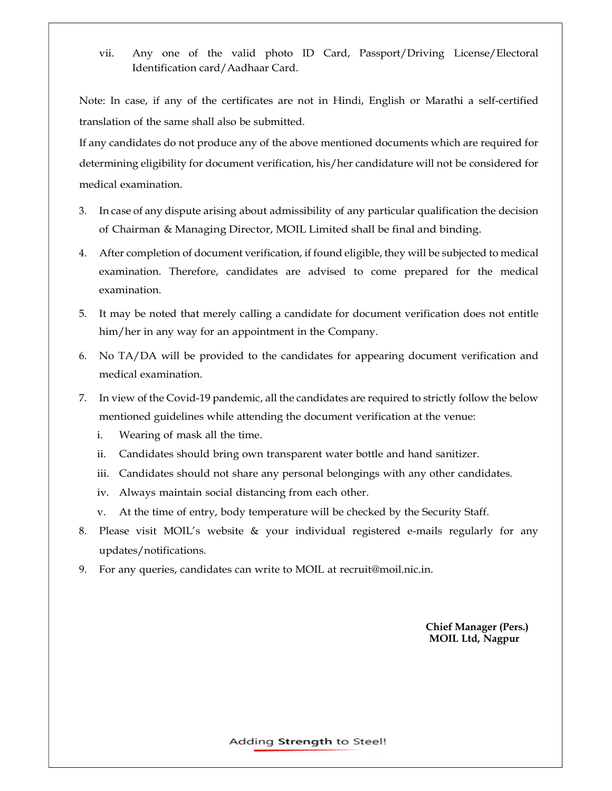vii. Any one of the valid photo ID Card, Passport/Driving License/Electoral Identification card/Aadhaar Card.

Note: In case, if any of the certificates are not in Hindi, English or Marathi a self-certified translation of the same shall also be submitted.

If any candidates do not produce any of the above mentioned documents which are required for determining eligibility for document verification, his/her candidature will not be considered for medical examination.

- 3. In case of any dispute arising about admissibility of any particular qualification the decision of Chairman & Managing Director, MOIL Limited shall be final and binding.
- 4. After completion of document verification, if found eligible, they will be subjected to medical examination. Therefore, candidates are advised to come prepared for the medical examination.
- 5. It may be noted that merely calling a candidate for document verification does not entitle him/her in any way for an appointment in the Company.
- 6. No TA/DA will be provided to the candidates for appearing document verification and medical examination.
- 7. In view of the Covid-19 pandemic, all the candidates are required to strictly follow the below mentioned guidelines while attending the document verification at the venue:
	- i. Wearing of mask all the time.
	- ii. Candidates should bring own transparent water bottle and hand sanitizer.
	- iii. Candidates should not share any personal belongings with any other candidates.
	- iv. Always maintain social distancing from each other.
	- v. At the time of entry, body temperature will be checked by the Security Staff.
- 8. Please visit MOIL's website & your individual registered e-mails regularly for any updates/notifications.
- 9. For any queries, candidates can write to MOIL at recruit@moil.nic.in.

 Chief Manager (Pers.) MOIL Ltd, Nagpur

Adding Strength to Steel!